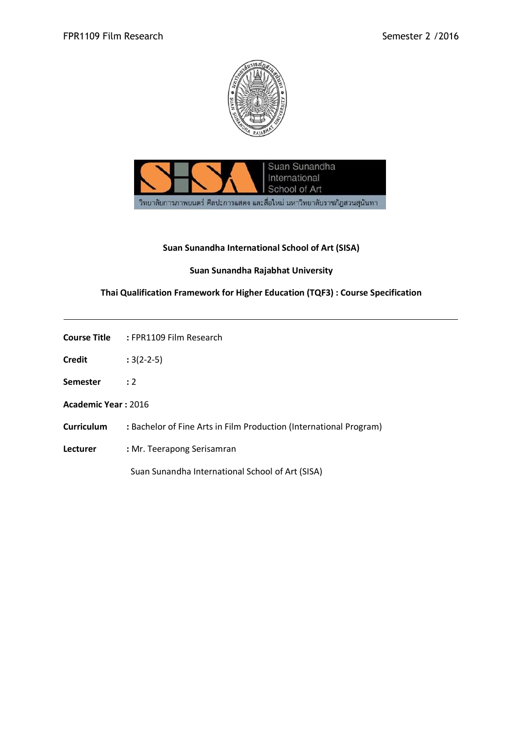



## **Suan Sunandha International School of Art (SISA)**

## **Suan Sunandha Rajabhat University**

## **Thai Qualification Framework for Higher Education (TQF3) : Course Specification**

| Course Title | : FPR1109 Film Research |
|--------------|-------------------------|
|              |                         |

- **Credit :** 3(2-2-5)
- **Semester :** 2
- **Academic Year :** 2016
- **Curriculum :** Bachelor of Fine Arts in Film Production (International Program)
- **Lecturer :** Mr. Teerapong Serisamran

Suan Sunandha International School of Art (SISA)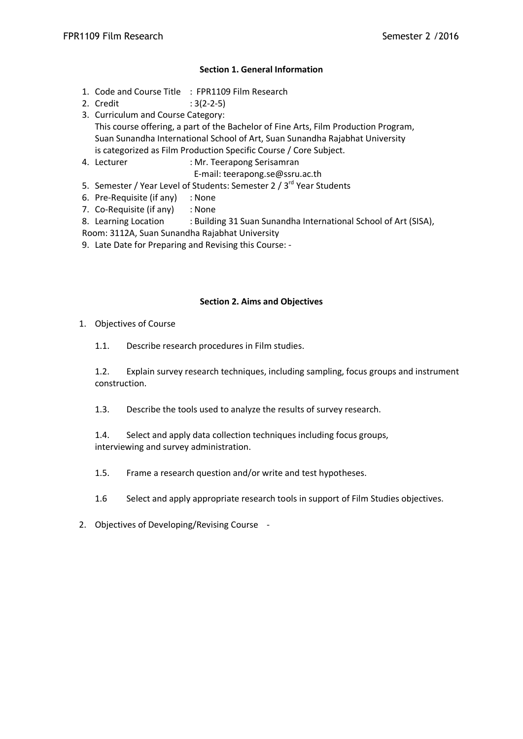### **Section 1. General Information**

- 1. Code and Course Title : FPR1109 Film Research
- 2. Credit : 3(2-2-5)
- 3. Curriculum and Course Category: This course offering, a part of the Bachelor of Fine Arts, Film Production Program, Suan Sunandha International School of Art, Suan Sunandha Rajabhat University is categorized as Film Production Specific Course / Core Subject.
- 4. Lecturer : Mr. Teerapong Serisamran
	- E-mail: teerapong.se@ssru.ac.th
- 5. Semester / Year Level of Students: Semester 2 / 3<sup>rd</sup> Year Students
- 6. Pre-Requisite (if any) : None
- 7. Co-Requisite (if any) : None
- 8. Learning Location : Building 31 Suan Sunandha International School of Art (SISA),
- Room: 3112A, Suan Sunandha Rajabhat University
- 9. Late Date for Preparing and Revising this Course: -

### **Section 2. Aims and Objectives**

- 1. Objectives of Course
	- 1.1. Describe research procedures in Film studies.

1.2. Explain survey research techniques, including sampling, focus groups and instrument construction.

1.3. Describe the tools used to analyze the results of survey research.

1.4. Select and apply data collection techniques including focus groups, interviewing and survey administration.

- 1.5. Frame a research question and/or write and test hypotheses.
- 1.6 Select and apply appropriate research tools in support of Film Studies objectives.
- 2. Objectives of Developing/Revising Course -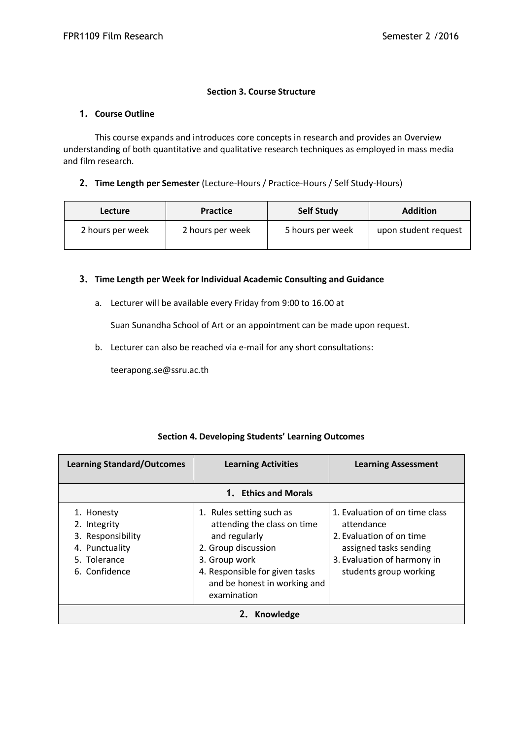#### **Section 3. Course Structure**

#### **1. Course Outline**

This course expands and introduces core concepts in research and provides an Overview understanding of both quantitative and qualitative research techniques as employed in mass media and film research.

#### **2. Time Length per Semester** (Lecture-Hours / Practice-Hours / Self Study-Hours)

| <b>Lecture</b>   | Practice         | <b>Self Study</b> | <b>Addition</b>      |
|------------------|------------------|-------------------|----------------------|
| 2 hours per week | 2 hours per week | 5 hours per week  | upon student request |

#### **3. Time Length per Week for Individual Academic Consulting and Guidance**

a. Lecturer will be available every Friday from 9:00 to 16.00 at

Suan Sunandha School of Art or an appointment can be made upon request.

b. Lecturer can also be reached via e-mail for any short consultations:

teerapong.se@ssru.ac.th

#### **Section 4. Developing Students' Learning Outcomes**

| <b>Learning Standard/Outcomes</b>                                                                  | <b>Learning Activities</b>                                                                                                                                                                        | <b>Learning Assessment</b>                                                                                                                                  |  |  |
|----------------------------------------------------------------------------------------------------|---------------------------------------------------------------------------------------------------------------------------------------------------------------------------------------------------|-------------------------------------------------------------------------------------------------------------------------------------------------------------|--|--|
|                                                                                                    | 1. Ethics and Morals                                                                                                                                                                              |                                                                                                                                                             |  |  |
| 1. Honesty<br>2. Integrity<br>3. Responsibility<br>4. Punctuality<br>5. Tolerance<br>6. Confidence | 1. Rules setting such as<br>attending the class on time<br>and regularly<br>2. Group discussion<br>3. Group work<br>4. Responsible for given tasks<br>and be honest in working and<br>examination | 1. Evaluation of on time class<br>attendance<br>2. Evaluation of on time<br>assigned tasks sending<br>3. Evaluation of harmony in<br>students group working |  |  |
| Knowledge                                                                                          |                                                                                                                                                                                                   |                                                                                                                                                             |  |  |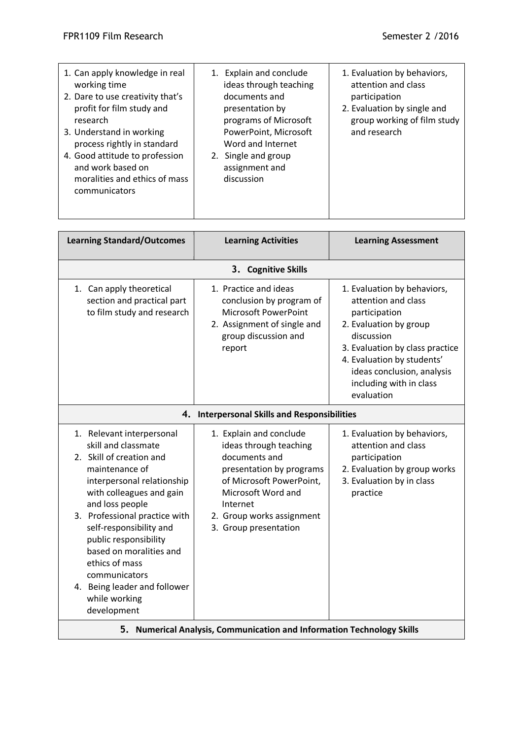| 2. Evaluation by single and<br>group working of film study                                                                                                                      |
|---------------------------------------------------------------------------------------------------------------------------------------------------------------------------------|
| <b>Learning Assessment</b>                                                                                                                                                      |
|                                                                                                                                                                                 |
| 1. Evaluation by behaviors,<br>2. Evaluation by group<br>3. Evaluation by class practice<br>4. Evaluation by students'<br>ideas conclusion, analysis<br>including with in class |
|                                                                                                                                                                                 |
| 1. Evaluation by behaviors,<br>2. Evaluation by group works<br>3. Evaluation by in class                                                                                        |
|                                                                                                                                                                                 |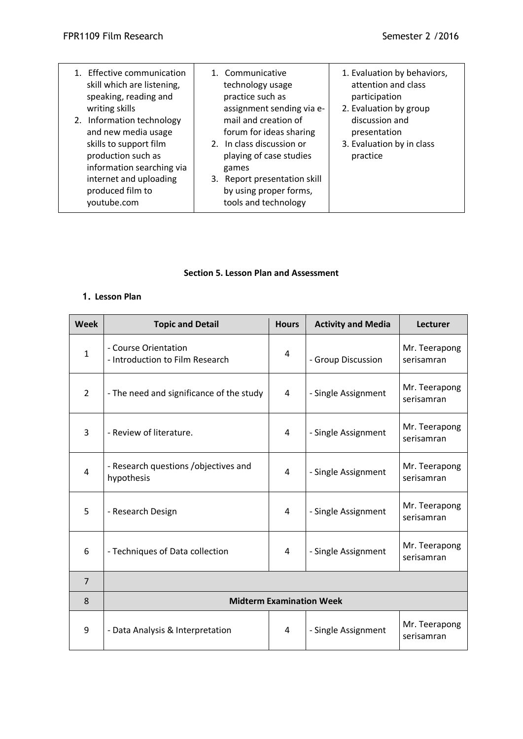| 1. Effective communication<br>skill which are listening,<br>speaking, reading and<br>writing skills<br>2. Information technology<br>and new media usage<br>skills to support film<br>production such as<br>information searching via<br>internet and uploading<br>produced film to<br>youtube.com | 1. Communicative<br>technology usage<br>practice such as<br>assignment sending via e-<br>mail and creation of<br>forum for ideas sharing<br>2. In class discussion or<br>playing of case studies<br>games<br>3. Report presentation skill<br>by using proper forms,<br>tools and technology | 1. Evaluation by behaviors,<br>attention and class<br>participation<br>2. Evaluation by group<br>discussion and<br>presentation<br>3. Evaluation by in class<br>practice |
|---------------------------------------------------------------------------------------------------------------------------------------------------------------------------------------------------------------------------------------------------------------------------------------------------|---------------------------------------------------------------------------------------------------------------------------------------------------------------------------------------------------------------------------------------------------------------------------------------------|--------------------------------------------------------------------------------------------------------------------------------------------------------------------------|
|---------------------------------------------------------------------------------------------------------------------------------------------------------------------------------------------------------------------------------------------------------------------------------------------------|---------------------------------------------------------------------------------------------------------------------------------------------------------------------------------------------------------------------------------------------------------------------------------------------|--------------------------------------------------------------------------------------------------------------------------------------------------------------------------|

### **Section 5. Lesson Plan and Assessment**

# **1. Lesson Plan**

| <b>Week</b>    | <b>Topic and Detail</b>                                 | <b>Hours</b> | <b>Activity and Media</b> | <b>Lecturer</b>             |
|----------------|---------------------------------------------------------|--------------|---------------------------|-----------------------------|
| $\mathbf{1}$   | - Course Orientation<br>- Introduction to Film Research | 4            | - Group Discussion        | Mr. Teerapong<br>serisamran |
| $\overline{2}$ | - The need and significance of the study                | 4            | - Single Assignment       | Mr. Teerapong<br>serisamran |
| 3              | - Review of literature.                                 | 4            | - Single Assignment       | Mr. Teerapong<br>serisamran |
| $\overline{4}$ | - Research questions /objectives and<br>hypothesis      | 4            | - Single Assignment       | Mr. Teerapong<br>serisamran |
| 5              | - Research Design                                       | 4            | - Single Assignment       | Mr. Teerapong<br>serisamran |
| 6              | - Techniques of Data collection                         | 4            | - Single Assignment       | Mr. Teerapong<br>serisamran |
| $\overline{7}$ |                                                         |              |                           |                             |
| 8              | <b>Midterm Examination Week</b>                         |              |                           |                             |
| 9              | - Data Analysis & Interpretation                        | 4            | - Single Assignment       | Mr. Teerapong<br>serisamran |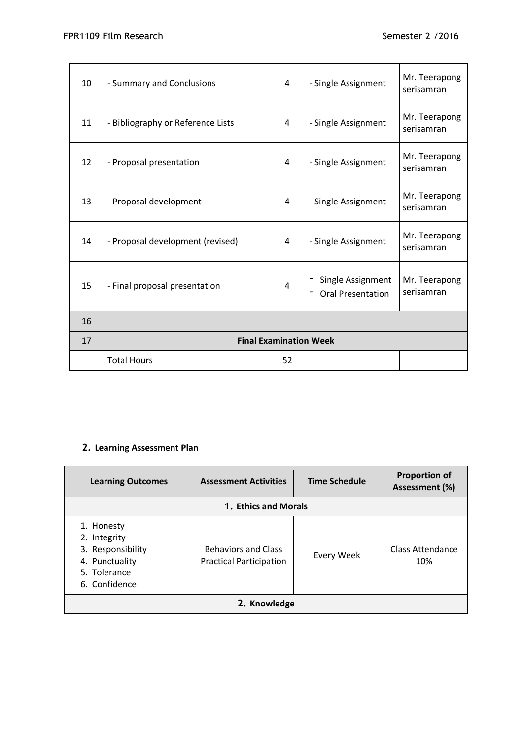| 10 | - Summary and Conclusions         | 4  | - Single Assignment                           | Mr. Teerapong<br>serisamran |
|----|-----------------------------------|----|-----------------------------------------------|-----------------------------|
| 11 | - Bibliography or Reference Lists | 4  | - Single Assignment                           | Mr. Teerapong<br>serisamran |
| 12 | - Proposal presentation           | 4  | - Single Assignment                           | Mr. Teerapong<br>serisamran |
| 13 | - Proposal development            | 4  | - Single Assignment                           | Mr. Teerapong<br>serisamran |
| 14 | - Proposal development (revised)  | 4  | - Single Assignment                           | Mr. Teerapong<br>serisamran |
| 15 | - Final proposal presentation     | 4  | Single Assignment<br><b>Oral Presentation</b> | Mr. Teerapong<br>serisamran |
| 16 |                                   |    |                                               |                             |
| 17 | <b>Final Examination Week</b>     |    |                                               |                             |
|    | <b>Total Hours</b>                | 52 |                                               |                             |

# **2. Learning Assessment Plan**

| <b>Learning Outcomes</b>                                                                           | <b>Assessment Activities</b>                                 | <b>Time Schedule</b> | <b>Proportion of</b><br>Assessment (%) |  |
|----------------------------------------------------------------------------------------------------|--------------------------------------------------------------|----------------------|----------------------------------------|--|
| 1. Ethics and Morals                                                                               |                                                              |                      |                                        |  |
| 1. Honesty<br>2. Integrity<br>3. Responsibility<br>4. Punctuality<br>5. Tolerance<br>6. Confidence | <b>Behaviors and Class</b><br><b>Practical Participation</b> | Every Week           | Class Attendance<br>10%                |  |
| 2. Knowledge                                                                                       |                                                              |                      |                                        |  |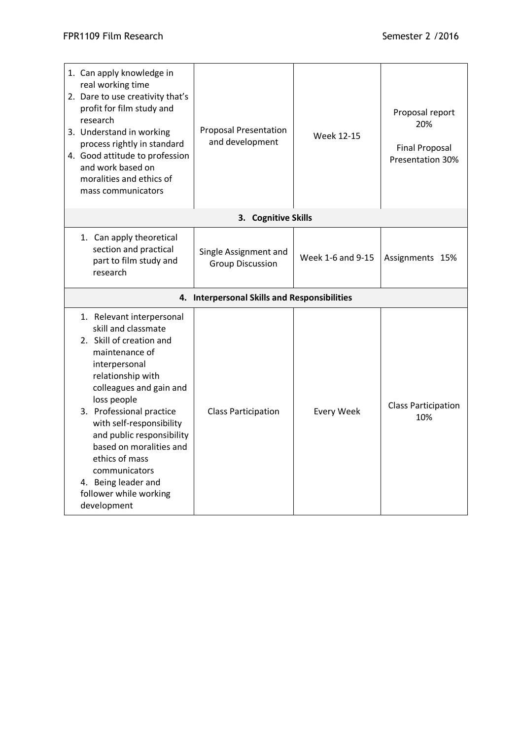| 1. Can apply knowledge in<br>real working time<br>2. Dare to use creativity that's<br>profit for film study and<br>research<br>3. Understand in working<br>process rightly in standard<br>4. Good attitude to profession<br>and work based on<br>moralities and ethics of<br>mass communicators                                                                                                   | <b>Proposal Presentation</b><br>and development  | Week 12-15        | Proposal report<br>20%<br><b>Final Proposal</b><br><b>Presentation 30%</b> |
|---------------------------------------------------------------------------------------------------------------------------------------------------------------------------------------------------------------------------------------------------------------------------------------------------------------------------------------------------------------------------------------------------|--------------------------------------------------|-------------------|----------------------------------------------------------------------------|
|                                                                                                                                                                                                                                                                                                                                                                                                   | 3. Cognitive Skills                              |                   |                                                                            |
| 1. Can apply theoretical<br>section and practical<br>part to film study and<br>research                                                                                                                                                                                                                                                                                                           | Single Assignment and<br><b>Group Discussion</b> | Week 1-6 and 9-15 | Assignments 15%                                                            |
|                                                                                                                                                                                                                                                                                                                                                                                                   | 4. Interpersonal Skills and Responsibilities     |                   |                                                                            |
| 1. Relevant interpersonal<br>skill and classmate<br>2. Skill of creation and<br>maintenance of<br>interpersonal<br>relationship with<br>colleagues and gain and<br>loss people<br>3. Professional practice<br>with self-responsibility<br>and public responsibility<br>based on moralities and<br>ethics of mass<br>communicators<br>4. Being leader and<br>follower while working<br>development | <b>Class Participation</b>                       | <b>Every Week</b> | <b>Class Participation</b><br>10%                                          |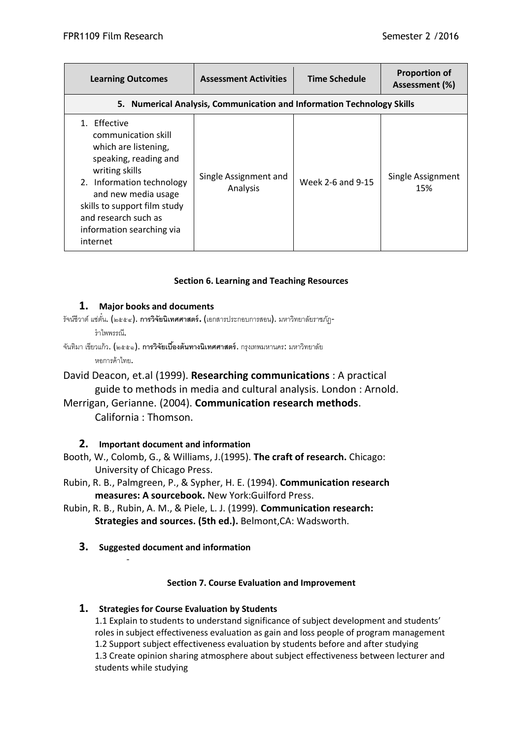| <b>Learning Outcomes</b>                                                                                                                                                                                                                                    | <b>Assessment Activities</b>                                           | <b>Time Schedule</b> | <b>Proportion of</b><br>Assessment (%) |
|-------------------------------------------------------------------------------------------------------------------------------------------------------------------------------------------------------------------------------------------------------------|------------------------------------------------------------------------|----------------------|----------------------------------------|
|                                                                                                                                                                                                                                                             | 5. Numerical Analysis, Communication and Information Technology Skills |                      |                                        |
| 1. Effective<br>communication skill<br>which are listening,<br>speaking, reading and<br>writing skills<br>2. Information technology<br>and new media usage<br>skills to support film study<br>and research such as<br>information searching via<br>internet | Single Assignment and<br>Analysis                                      | Week 2-6 and 9-15    | Single Assignment<br>15%               |

## **Section 6. Learning and Teaching Resources**

## **1. Major books and documents**

- รัจน์ชีวาต์แซ่ตั๋น. (๒๕๕๔). **การวิจัยนิเทศศาสตร์.** (เอกสารประกอบการสอน). มหาวิทยาลัยราชภัฏ-ร าไพพรรณี.
- จันทิมา เขียวแก้ว. (๒๕๕๑). **การวิจัยเบื้องต้นทางนิเทศศาสตร์**. กรุงเทพมหานคร: มหาวิทยาลัย

หอการค้าไทย.

David Deacon, et.al (1999). **Researching communications** : A practical guide to methods in media and cultural analysis. London : Arnold.

# Merrigan, Gerianne. (2004). **Communication research methods**. California : Thomson.

# **2. Important document and information**

- Booth, W., Colomb, G., & Williams, J.(1995). **The craft of research.** Chicago: University of Chicago Press.
- Rubin, R. B., Palmgreen, P., & Sypher, H. E. (1994). **Communication research measures: A sourcebook.** New York:Guilford Press.
- Rubin, R. B., Rubin, A. M., & Piele, L. J. (1999). **Communication research: Strategies and sources. (5th ed.).** Belmont,CA: Wadsworth.
	- **3. Suggested document and information**

-

## **Section 7. Course Evaluation and Improvement**

# **1. Strategies for Course Evaluation by Students**

1.1 Explain to students to understand significance of subject development and students' roles in subject effectiveness evaluation as gain and loss people of program management 1.2 Support subject effectiveness evaluation by students before and after studying 1.3 Create opinion sharing atmosphere about subject effectiveness between lecturer and students while studying